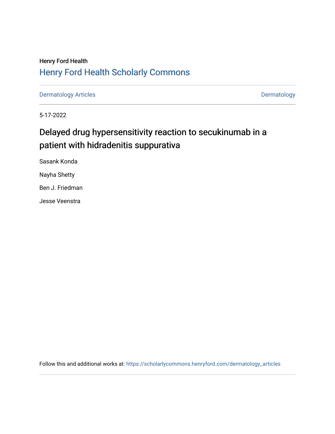# Henry Ford Health [Henry Ford Health Scholarly Commons](https://scholarlycommons.henryford.com/)

[Dermatology Articles](https://scholarlycommons.henryford.com/dermatology_articles) **Dermatology** 

5-17-2022

# Delayed drug hypersensitivity reaction to secukinumab in a patient with hidradenitis suppurativa

Sasank Konda Nayha Shetty Ben J. Friedman Jesse Veenstra

Follow this and additional works at: [https://scholarlycommons.henryford.com/dermatology\\_articles](https://scholarlycommons.henryford.com/dermatology_articles?utm_source=scholarlycommons.henryford.com%2Fdermatology_articles%2F677&utm_medium=PDF&utm_campaign=PDFCoverPages)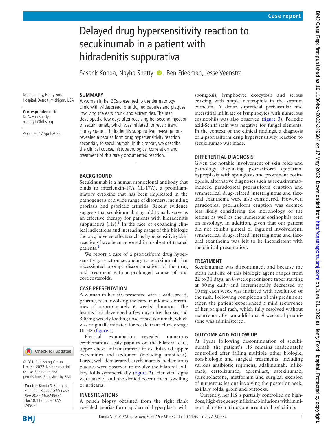# Delayed drug hypersensitivity reaction to secukinumab in a patient with hidradenitis suppurativa

Sasank Konda, Nayha Shetty  $\bullet$ , Ben Friedman, Jesse Veenstra

Dermatology, Henry Ford Hospital, Detroit, Michigan, USA

**Correspondence to** Dr Nayha Shetty; nshetty1@hfhs.org

Accepted 17 April 2022

A woman in her 30s presented to the dermatology clinic with widespread, pruritic, red papules and plaques involving the ears, trunk and extremities. The rash developed a few days after receiving her second injection of secukinumab, which was initiated for recalcitrant Hurley stage III hidradenitis suppurativa. Investigations revealed a psoriasiform drug hypersensitivity reaction secondary to secukinumab. In this report, we describe the clinical course, histopathological correlation and treatment of this rarely documented reaction.

## **BACKGROUND**

**SUMMARY**

Secukinumab is a human monoclonal antibody that binds to interleukin-17A (IL-17A), a proinflammatory cytokine that has been implicated in the pathogenesis of a wide range of disorders, including psoriasis and psoriatic arthritis. Recent evidence suggests that secukinumab may additionally serve as an effective therapy for patients with hidradenitis suppurativa  $(HS)$ .<sup>1</sup> In the face of expanding clinical indications and increasing usage of this biologic therapy, adverse effects such as hypersensitivity skin reactions have been reported in a subset of treated patients.<sup>[2](#page-3-1)</sup>

We report a case of a psoriasiform drug hypersensitivity reaction secondary to secukinumab that necessitated prompt discontinuation of the drug and treatment with a prolonged course of oral corticosteroids.

#### **CASE PRESENTATION**

A woman in her 30s presented with a widespread, pruritic, rash involving the ears, trunk and extremities of approximately 6 weeks' duration. The lesions first developed a few days after her second 300mg weekly loading dose of secukinumab, which was originally initiated for recalcitrant Hurley stage III HS ([figure](#page-2-0) 1).

Physical examination revealed numerous erythematous, scaly papules on the bilateral ears, upper chest, inframammary folds, bilateral upper extremities and abdomen (including umbilicus). Large, well-demarcated, erythematous, oedematous plaques were observed to involve the bilateral axillary folds symmetrically ([figure](#page-2-1) 2). Her vital signs were stable, and she denied recent facial swelling or urticaria.

#### **INVESTIGATIONS**

A punch biopsy obtained from the right flank revealed psoriasiform epidermal hyperplasia with

spongiosis, lymphocyte exocytosis and serous crusting with ample neutrophils in the stratum corneum. A dense superficial perivascular and interstitial infiltrate of lymphocytes with numerous eosinophils was also observed [\(figure](#page-2-2) 3). Periodic acid-Schiff stain was negative for fungal elements. In the context of the clinical findings, a diagnosis of a psoriasiform drug hypersensitivity reaction to secukinumab was made.

#### **DIFFERENTIAL DIAGNOSIS**

Given the notable involvement of skin folds and pathology displaying psoriasiform epidermal hyperplasia with spongiosis and prominent eosinophils, alternative diagnoses such as secukinumabinduced paradoxical psoriasiform eruption and symmetrical drug-related intertriginous and flexural exanthema were also considered. However, paradoxical psoriasiform eruption was deemed less likely considering the morphology of the lesions as well as the numerous eosinophils seen on histology. In addition, given that our patient did not exhibit gluteal or inguinal involvement, symmetrical drug-related intertriginous and flexural exanthema was felt to be inconsistent with the clinical presentation.

### **TREATMENT**

Secukinumab was discontinued, and because the mean half-life of this biologic agent ranges from 22 to 31 days, an 8-week prednisone taper starting at 80 mg daily and incrementally decreased by 10 mg each week was initiated with resolution of the rash. Following completion of this prednisone taper, the patient experienced a mild recurrence of her original rash, which fully resolved without recurrence after an additional 4 weeks of prednisone was administered.

### **OUTCOME AND FOLLOW-UP**

At 1 year following discontinuation of secukinumab, the patient's HS remains inadequately controlled after failing multiple other biologic, non-biologic and surgical treatments, including various antibiotic regimens, adalimumab, infliximab, certolizumab, apremilast, ustekinumab, spironolactone, metformin and surgical excision of numerous lesions involving the posterior neck, axillary folds, groin and buttocks.

Currently, her HS is partially controlled on highdose, high-frequency infliximab infusions with imminent plans to initiate concurrent oral tofacitinib.

249684

**To cite:** Konda S, Shetty N, Friedman B, et al. BMJ Case Rep 2022;**15**:e249684. doi:10.1136/bcr-2022-

© BMJ Publishing Group Limited 2022. No commercial re-use. See rights and permissions. Published by BMJ.

Check for updates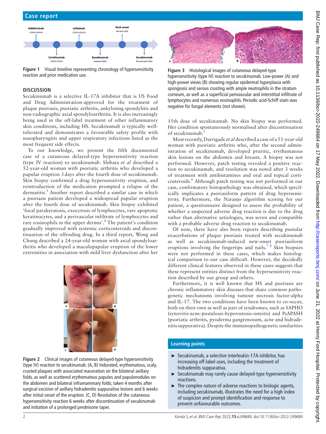BMJ Case Rep: first published as 10.1136/bcr-2022-249684 on 17 May 2022. Downloaded from http://casereports.bmj.com/ on June 21, 2022 at Henry Ford Hospital. Protected by copyright BMJ Case Rep: first published as 10.1136/bcr-2022-249684 on 17 May 2022. Downloaded from <http://casereports.bmj.com/> on June 21, 2022 at Henry Ford Hospital. Protected by copyright.



<span id="page-2-0"></span>**Figure 1** Visual timeline representing chronology of hypersensitivity reaction and prior medication use.

# **DISCUSSION**

Secukinumab is a selective IL-17A inhibitor that is US Food and Drug Administration-approved for the treatment of plaque psoriasis, psoriatic arthritis, ankylosing spondylitis and non-radiographic axial spondyloarthritis. It is also increasingly being used in the off-label treatment of other inflammatory skin conditions, including HS. Secukinumab is typically welltolerated and demonstrates a favourable safety profile with nasopharyngitis and upper respiratory infections listed as the most frequent side effects.

To our knowledge, we present the fifth documented case of a cutaneous delayed-type hypersensitivity reaction (type IV reaction) to secukinumab. Shibata *et al* described a 52-year-old woman with psoriatic arthritis who developed a papular eruption 3 days after the fourth dose of secukinumab. Skin biopsy confirmed a drug hypersensitivity eruption, and reintroduction of the medication prompted a relapse of the dermatitis.<sup>[3](#page-3-2)</sup> Another report described a similar case in which a psoriasis patient developed a widespread papular eruption after the fourth dose of secukinumab. Skin biopsy exhibited 'focal parakeratosis, exocytosis of lymphocytes, rare apoptotic keratinocytes, and a perivascular infiltrate of lymphocytes and rare eosinophils in the upper dermis'.<sup>[4](#page-3-3)</sup> The patient's condition gradually improved with systemic corticosteroids and discontinuation of the offending drug. In a third report, Wong and Chung described a 24-year-old woman with axial spondyloarthritis who developed a maculopapular eruption of the lower extremities in association with mild liver dysfunction after her



**Figure 2** Clinical images of cutaneous delayed-type hypersensitivity (type IV) reaction to secukinumab. (A, B) Indurated, erythematous, scaly, crusted plaques with associated maceration on the bilateral axillary folds, as well as scattered erythematous papules and papulonodules on the abdomen and bilateral inframammary folds; taken 4 months after surgical excision of axillary hidradenitis suppurativa lesions and 6 weeks after initial onset of the eruption. (C, D) Resolution of the cutaneous hypersensitivity reaction 6 weeks after discontinuation of secukinumab and initiation of a prolonged prednisone taper.

<span id="page-2-2"></span>

**Figure 3** Histological images of cutaneous delayed-type hypersensitivity (type IV) reaction to secukinumab. Low-power (A) and high-power views (B) showing regular epidermal hyperplasia with spongiosis and serous crusting with ample neutrophils in the stratum corneum, as well as a superficial perivascular and interstitial infiltrate of lymphocytes and numerous eosinophils. Periodic acid-Schiff stain was negative for fungal elements (not shown).

15th dose of secukinumab. No skin biopsy was performed. Her condition spontaneously normalised after discontinuation of secukinumab.<sup>[5](#page-3-4)</sup>

Most recently, Darrigade *et al* described a case of a 51-year-old woman with psoriatic arthritis who, after the second administration of secukinumab, developed pruritic, erythematous skin lesions on the abdomen and breasts. A biopsy was not performed. However, patch testing revealed a positive reaction to secukinumab, and resolution was noted after 3 weeks of treatment with antihistamines and oral and topical corti-costeroids.<sup>[6](#page-3-5)</sup> Although patch testing was not performed in our case, confirmatory histopathology was obtained, which specifically implicates a psoriasiform pattern of drug hypersensitivity. Furthermore, the Naranjo algorithm scoring for our patient, a questionnaire designed to assess the probability of whether a suspected adverse drug reaction is due to the drug rather than alternative aetiologies, was seven and compatible with a probable adverse drug reaction to secukinumab.

Of note, there have also been reports describing pustular exacerbations of plaque psoriasis treated with secukinumab as well as secukinumab-induced new-onset psoriasiform eruptions involving the fingertips and nails.<sup>78</sup> Skin biopsies were not performed in these cases, which makes histological comparison to our case difficult. However, the decidedly different clinical features observed in these cases suggests that these represent entities distinct from the hypersensitivity reaction described by our group and others.

Furthermore, it is well known that HS and psoriasis are chronic inflammatory skin diseases that share common pathogenetic mechanisms involving tumour necrosis factor-alpha and IL-17. The two conditions have been known to co-occur, both on their own as well as part of syndromes, such as SAPHO (synovitis-acne-pustulosis-hyperostosis-osteitis) and PsAPASH (psoriatic arthritis, pyoderma gangrenosum, acne and hidradenitis suppurativa). Despite the immunopathogenetic similarities

### <span id="page-2-1"></span>**Learning points**

- ► Secukinumab, a selective interleukin-17A inhibitor, has increasing off-label uses, including the treatment of hidradenitis suppurativa.
- ► Secukinumab may rarely cause delayed-type hypersensitivity reactions.
- ► The complex nature of adverse reactions to biologic agents, including secukinumab, illustrates the need for a high index of suspicion and prompt identification and response to prevent unfavourable outcomes.